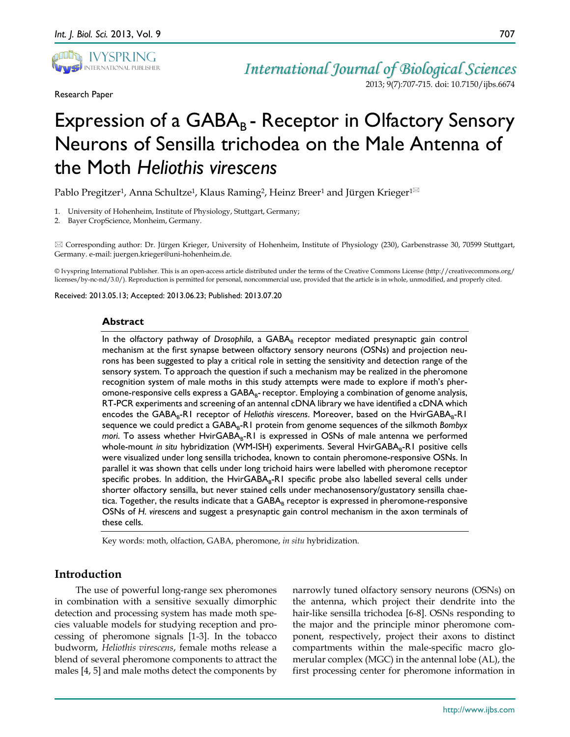

Research Paper

*International Journal of Biological Sciences* 2013; 9(7):707-715. doi: 10.7150/ijbs.6674

# Expression of a  $GABA_B$  - Receptor in Olfactory Sensory Neurons of Sensilla trichodea on the Male Antenna of the Moth *Heliothis virescens*

Pablo Pregitzer<sup>1</sup>, Anna Schultze<sup>1</sup>, Klaus Raming<sup>2</sup>, Heinz Breer<sup>1</sup> and Jürgen Krieger<sup>1 $\boxtimes$ </sup>

- 1. University of Hohenheim, Institute of Physiology, Stuttgart, Germany;
- 2. Bayer CropScience, Monheim, Germany.

 Corresponding author: Dr. Jürgen Krieger, University of Hohenheim, Institute of Physiology (230), Garbenstrasse 30, 70599 Stuttgart, Germany. e-mail: juergen.krieger@uni-hohenheim.de.

© Ivyspring International Publisher. This is an open-access article distributed under the terms of the Creative Commons License (http://creativecommons.org/ licenses/by-nc-nd/3.0/). Reproduction is permitted for personal, noncommercial use, provided that the article is in whole, unmodified, and properly cited.

Received: 2013.05.13; Accepted: 2013.06.23; Published: 2013.07.20

#### **Abstract**

In the olfactory pathway of *Drosophila*, a GABA<sub>B</sub> receptor mediated presynaptic gain control mechanism at the first synapse between olfactory sensory neurons (OSNs) and projection neurons has been suggested to play a critical role in setting the sensitivity and detection range of the sensory system. To approach the question if such a mechanism may be realized in the pheromone recognition system of male moths in this study attempts were made to explore if moth's pheromone-responsive cells express a  $GABA_{R}$ -receptor. Employing a combination of genome analysis, RT-PCR experiments and screening of an antennal cDNA library we have identified a cDNA which encodes the GABA<sub>R</sub>-R1 receptor of *Heliothis virescens*. Moreover, based on the HvirGABA<sub>R</sub>-R1 sequence we could predict a GABA<sub>B</sub>-R1 protein from genome sequences of the silkmoth *Bombyx mori*. To assess whether HvirGABA<sub>B</sub>-R1 is expressed in OSNs of male antenna we performed whole-mount *in situ* hybridization (WM-ISH) experiments. Several HvirGABA<sub>B</sub>-R1 positive cells were visualized under long sensilla trichodea, known to contain pheromone-responsive OSNs. In parallel it was shown that cells under long trichoid hairs were labelled with pheromone receptor specific probes. In addition, the HvirGABA $_B$ -R1 specific probe also labelled several cells under shorter olfactory sensilla, but never stained cells under mechanosensory/gustatory sensilla chaetica. Together, the results indicate that a  $GABA_B$  receptor is expressed in pheromone-responsive OSNs of *H. virescens* and suggest a presynaptic gain control mechanism in the axon terminals of these cells.

Key words: moth, olfaction, GABA, pheromone, *in situ* hybridization.

# **Introduction**

The use of powerful long-range sex pheromones in combination with a sensitive sexually dimorphic detection and processing system has made moth species valuable models for studying reception and processing of pheromone signals [1-3]. In the tobacco budworm, *Heliothis virescens*, female moths release a blend of several pheromone components to attract the males [4, 5] and male moths detect the components by

narrowly tuned olfactory sensory neurons (OSNs) on the antenna, which project their dendrite into the hair-like sensilla trichodea [6-8]. OSNs responding to the major and the principle minor pheromone component, respectively, project their axons to distinct compartments within the male-specific macro glomerular complex (MGC) in the antennal lobe (AL), the first processing center for pheromone information in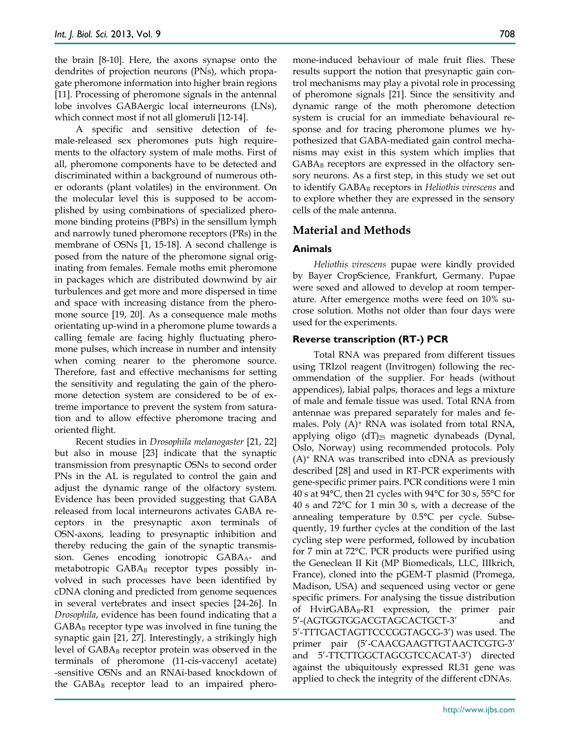the brain [8-10]. Here, the axons synapse onto the dendrites of projection neurons (PNs), which propagate pheromone information into higher brain regions [11]. Processing of pheromone signals in the antennal lobe involves GABAergic local interneurons (LNs), which connect most if not all glomeruli [12-14].

A specific and sensitive detection of female-released sex pheromones puts high requirements to the olfactory system of male moths. First of all, pheromone components have to be detected and discriminated within a background of numerous other odorants (plant volatiles) in the environment. On the molecular level this is supposed to be accomplished by using combinations of specialized pheromone binding proteins (PBPs) in the sensillum lymph and narrowly tuned pheromone receptors (PRs) in the membrane of OSNs [1, 15-18]. A second challenge is posed from the nature of the pheromone signal originating from females. Female moths emit pheromone in packages which are distributed downwind by air turbulences and get more and more dispersed in time and space with increasing distance from the pheromone source [19, 20]. As a consequence male moths orientating up-wind in a pheromone plume towards a calling female are facing highly fluctuating pheromone pulses, which increase in number and intensity when coming nearer to the pheromone source. Therefore, fast and effective mechanisms for setting the sensitivity and regulating the gain of the pheromone detection system are considered to be of extreme importance to prevent the system from saturation and to allow effective pheromone tracing and oriented flight.

Recent studies in *Drosophila melanogaster* [21, 22] but also in mouse [23] indicate that the synaptic transmission from presynaptic OSNs to second order PNs in the AL is regulated to control the gain and adjust the dynamic range of the olfactory system. Evidence has been provided suggesting that GABA released from local interneurons activates GABA receptors in the presynaptic axon terminals of OSN-axons, leading to presynaptic inhibition and thereby reducing the gain of the synaptic transmission. Genes encoding ionotropic GABA<sub>A</sub>- and metabotropic GABAB receptor types possibly involved in such processes have been identified by cDNA cloning and predicted from genome sequences in several vertebrates and insect species [24-26]. In *Drosophila*, evidence has been found indicating that a  $GABA_B$  receptor type was involved in fine tuning the synaptic gain [21, 27]. Interestingly, a strikingly high level of  $GABA_B$  receptor protein was observed in the terminals of pheromone (11-cis-vaccenyl acetate) -sensitive OSNs and an RNAi-based knockdown of the  $GABA_B$  receptor lead to an impaired pheromone-induced behaviour of male fruit flies. These results support the notion that presynaptic gain control mechanisms may play a pivotal role in processing of pheromone signals [21]. Since the sensitivity and dynamic range of the moth pheromone detection system is crucial for an immediate behavioural response and for tracing pheromone plumes we hypothesized that GABA-mediated gain control mechanisms may exist in this system which implies that  $GABA_B$  receptors are expressed in the olfactory sensory neurons. As a first step, in this study we set out to identify GABAB receptors in *Heliothis virescens* and to explore whether they are expressed in the sensory cells of the male antenna.

# **Material and Methods**

## **Animals**

*Heliothis virescens* pupae were kindly provided by Bayer CropScience, Frankfurt, Germany. Pupae were sexed and allowed to develop at room temperature. After emergence moths were feed on 10% sucrose solution. Moths not older than four days were used for the experiments.

## **Reverse transcription (RT-) PCR**

Total RNA was prepared from different tissues using TRIzol reagent (Invitrogen) following the recommendation of the supplier. For heads (without appendices), labial palps, thoraces and legs a mixture of male and female tissue was used. Total RNA from antennae was prepared separately for males and females. Poly (A)+ RNA was isolated from total RNA, applying oligo  $(dT)_{25}$  magnetic dynabeads (Dynal, Oslo, Norway) using recommended protocols. Poly (A)+ RNA was transcribed into cDNA as previously described [28] and used in RT-PCR experiments with gene-specific primer pairs. PCR conditions were 1 min 40 s at 94°C, then 21 cycles with 94°C for 30 s, 55°C for 40 s and 72°C for 1 min 30 s, with a decrease of the annealing temperature by 0.5°C per cycle. Subsequently, 19 further cycles at the condition of the last cycling step were performed, followed by incubation for 7 min at 72°C. PCR products were purified using the Geneclean II Kit (MP Biomedicals, LLC, IIIkrich, France), cloned into the pGEM-T plasmid (Promega, Madison, USA) and sequenced using vector or gene specific primers. For analysing the tissue distribution of Hvir $GABA_B-R1$  expression, the primer pair 5'-(AGTGGTGGACGTAGCACTGCT-3' and 5'-TTTGACTAGTTCCCGGTAGCG-3') was used. The primer pair (5'-CAACGAAGTTGTAACTCGTG-3' and 5'-TTCTTGGCTAGCGTCCACAT-3') directed against the ubiquitously expressed RL31 gene was applied to check the integrity of the different cDNAs.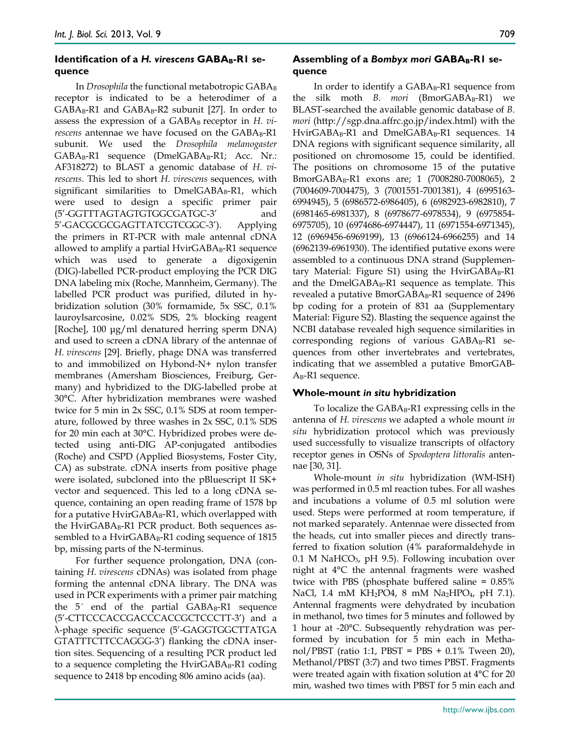# **Identification of a H. virescens GABA<sub>B</sub>-R1 sequence**

In *Drosophila* the functional metabotropic GABA<sub>B</sub> receptor is indicated to be a heterodimer of a  $GABA_B-RI$  and  $GABA_B-R2$  subunit [27]. In order to assess the expression of a GABA<sub>B</sub> receptor in *H. virescens* antennae we have focused on the GABAB-R1 subunit. We used the *Drosophila melanogaster*  $GABA_B-R1$  sequence (Dmel $GABA_B-R1$ ; Acc. Nr.: AF318272) to BLAST a genomic database of *H. virescens*. This led to short *H. virescens* sequences, with significant similarities to  $DmelGABA_B-R1$ , which were used to design a specific primer pair (5'-GGTTTAGTAGTGTGGCGATGC-3' and 5'-GACGCGCGAGTTATCGTCGGC-3'). Applying the primers in RT-PCR with male antennal cDNA allowed to amplify a partial  $HvirGABA_B-R1$  sequence which was used to generate a digoxigenin (DIG)-labelled PCR-product employing the PCR DIG DNA labeling mix (Roche, Mannheim, Germany). The labelled PCR product was purified, diluted in hybridization solution (30% formamide, 5x SSC, 0.1% lauroylsarcosine, 0.02% SDS, 2% blocking reagent [Roche], 100 μg/ml denatured herring sperm DNA) and used to screen a cDNA library of the antennae of *H. virescens* [29]. Briefly, phage DNA was transferred to and immobilized on Hybond-N+ nylon transfer membranes (Amersham Biosciences, Freiburg, Germany) and hybridized to the DIG-labelled probe at 30°C. After hybridization membranes were washed twice for 5 min in 2x SSC, 0.1% SDS at room temperature, followed by three washes in 2x SSC, 0.1% SDS for 20 min each at 30°C. Hybridized probes were detected using anti-DIG AP-conjugated antibodies (Roche) and CSPD (Applied Biosystems, Foster City, CA) as substrate. cDNA inserts from positive phage were isolated, subcloned into the pBluescript II SK+ vector and sequenced. This led to a long cDNA sequence, containing an open reading frame of 1578 bp for a putative  $HvirGABA_B$ -R1, which overlapped with the HvirGABA $_B$ -R1 PCR product. Both sequences assembled to a HvirGAB $A_B$ -R1 coding sequence of 1815 bp, missing parts of the N-terminus.

For further sequence prolongation, DNA (containing *H. virescens* cDNAs) was isolated from phage forming the antennal cDNA library. The DNA was used in PCR experiments with a primer pair matching the  $5'$  end of the partial  $GABA_B-RI$  sequence (5'-CTTCCCACCGACCCACCGCTCCCTT-3') and a λ-phage specific sequence (5'-GAGGTGGCTTATGA GTATTTCTTCCAGGG-3') flanking the cDNA insertion sites. Sequencing of a resulting PCR product led to a sequence completing the  $HvirGABA_B-R1$  coding sequence to 2418 bp encoding 806 amino acids (aa).

# Assembling of a Bombyx mori GABA<sub>B</sub>-RI se**quence**

In order to identify a GABA<sub>B</sub>-R1 sequence from the silk moth *B. mori* (BmorGABA<sub>B</sub>-R1) we BLAST-searched the available genomic database of *B. mori* (http://sgp.dna.affrc.go.jp/index.html) with the HvirGABA<sub>B</sub>-R1 and DmelGABA<sub>B</sub>-R1 sequences. 14 DNA regions with significant sequence similarity, all positioned on chromosome 15, could be identified. The positions on chromosome 15 of the putative BmorGABAB-R1 exons are; 1 (7008280-7008065), 2 (7004609-7004475), 3 (7001551-7001381), 4 (6995163- 6994945), 5 (6986572-6986405), 6 (6982923-6982810), 7 (6981465-6981337), 8 (6978677-6978534), 9 (6975854- 6975705), 10 (6974686-6974447), 11 (6971554-6971345), 12 (6969456-6969199), 13 (6966124-6966255) and 14 (6962139-6961930). The identified putative exons were assembled to a continuous DNA strand (Supplementary Material: Figure S1) using the  $HvirGABA_B-RI$ and the DmelGAB $A$ <sub>B</sub>-R1 sequence as template. This revealed a putative  $BmorGABA_B-R1$  sequence of 2496 bp coding for a protein of 831 aa (Supplementary Material: Figure S2). Blasting the sequence against the NCBI database revealed high sequence similarities in corresponding regions of various  $GABA_B-RI$  sequences from other invertebrates and vertebrates, indicating that we assembled a putative BmorGAB- $A_B$ -R1 sequence.

## **Whole-mount** *in situ* **hybridization**

To localize the  $GABA_B-RI$  expressing cells in the antenna of *H. virescens* we adapted a whole mount *in situ* hybridization protocol which was previously used successfully to visualize transcripts of olfactory receptor genes in OSNs of *Spodoptera littoralis* antennae [30, 31].

Whole-mount *in situ* hybridization (WM-ISH) was performed in 0.5 ml reaction tubes. For all washes and incubations a volume of 0.5 ml solution were used. Steps were performed at room temperature, if not marked separately. Antennae were dissected from the heads, cut into smaller pieces and directly transferred to fixation solution (4% paraformaldehyde in 0.1 M NaHCO<sub>3</sub>, pH 9.5). Following incubation over night at 4°C the antennal fragments were washed twice with PBS (phosphate buffered saline = 0.85% NaCl, 1.4 mM KH<sub>2</sub>PO4, 8 mM Na<sub>2</sub>HPO<sub>4</sub>, pH 7.1). Antennal fragments were dehydrated by incubation in methanol, two times for 5 minutes and followed by 1 hour at -20°C. Subsequently rehydration was performed by incubation for 5 min each in Methanol/PBST (ratio 1:1, PBST = PBS + 0.1% Tween 20), Methanol/PBST (3:7) and two times PBST. Fragments were treated again with fixation solution at 4°C for 20 min, washed two times with PBST for 5 min each and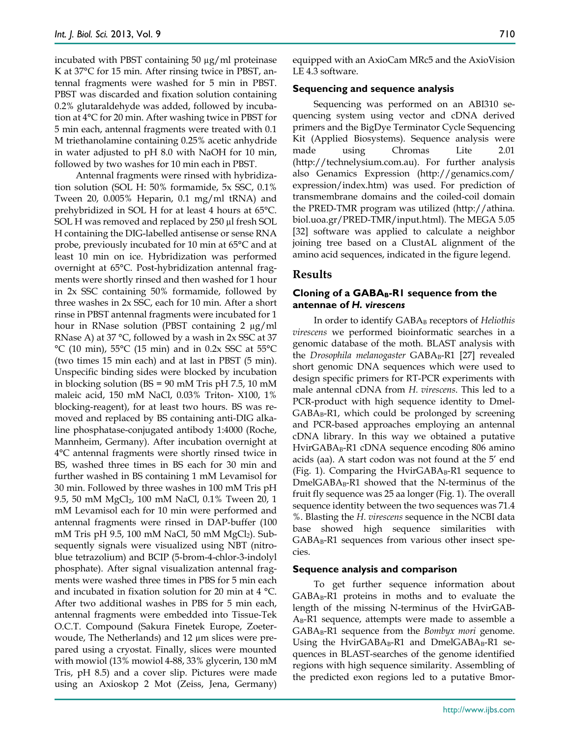incubated with PBST containing 50 µg/ml proteinase K at 37°C for 15 min. After rinsing twice in PBST, antennal fragments were washed for 5 min in PBST. PBST was discarded and fixation solution containing 0.2% glutaraldehyde was added, followed by incubation at 4°C for 20 min. After washing twice in PBST for 5 min each, antennal fragments were treated with 0.1 M triethanolamine containing 0.25% acetic anhydride in water adjusted to pH 8.0 with NaOH for 10 min, followed by two washes for 10 min each in PBST.

Antennal fragments were rinsed with hybridization solution (SOL H: 50% formamide, 5x SSC, 0.1% Tween 20, 0.005% Heparin, 0.1 mg/ml tRNA) and prehybridized in SOL H for at least 4 hours at 65°C. SOL H was removed and replaced by 250 µl fresh SOL H containing the DIG-labelled antisense or sense RNA probe, previously incubated for 10 min at 65°C and at least 10 min on ice. Hybridization was performed overnight at 65°C. Post-hybridization antennal fragments were shortly rinsed and then washed for 1 hour in 2x SSC containing 50% formamide, followed by three washes in 2x SSC, each for 10 min. After a short rinse in PBST antennal fragments were incubated for 1 hour in RNase solution (PBST containing 2 µg/ml RNase A) at 37 °C, followed by a wash in 2x SSC at 37 °C (10 min), 55°C (15 min) and in 0.2x SSC at 55°C (two times 15 min each) and at last in PBST (5 min). Unspecific binding sides were blocked by incubation in blocking solution (BS = 90 mM Tris pH 7.5, 10 mM maleic acid, 150 mM NaCl, 0.03% Triton- X100, 1% blocking-reagent), for at least two hours. BS was removed and replaced by BS containing anti-DIG alkaline phosphatase-conjugated antibody 1:4000 (Roche, Mannheim, Germany). After incubation overnight at 4°C antennal fragments were shortly rinsed twice in BS, washed three times in BS each for 30 min and further washed in BS containing 1 mM Levamisol for 30 min. Followed by three washes in 100 mM Tris pH 9.5, 50 mM MgCl2, 100 mM NaCl, 0.1% Tween 20, 1 mM Levamisol each for 10 min were performed and antennal fragments were rinsed in DAP-buffer (100 mM Tris pH 9.5, 100 mM NaCl, 50 mM MgCl2). Subsequently signals were visualized using NBT (nitroblue tetrazolium) and BCIP (5-brom-4-chlor-3-indolyl phosphate). After signal visualization antennal fragments were washed three times in PBS for 5 min each and incubated in fixation solution for 20 min at 4 °C. After two additional washes in PBS for 5 min each, antennal fragments were embedded into Tissue-Tek O.C.T. Compound (Sakura Finetek Europe, Zoeterwoude, The Netherlands) and 12 µm slices were prepared using a cryostat. Finally, slices were mounted with mowiol (13% mowiol 4-88, 33% glycerin, 130 mM Tris, pH 8.5) and a cover slip. Pictures were made using an Axioskop 2 Mot (Zeiss, Jena, Germany)

equipped with an AxioCam MRc5 and the AxioVision LE 4.3 software.

#### **Sequencing and sequence analysis**

Sequencing was performed on an ABI310 sequencing system using vector and cDNA derived primers and the BigDye Terminator Cycle Sequencing Kit (Applied Biosystems). Sequence analysis were made using Chromas Lite 2.01 (http://technelysium.com.au). For further analysis also Genamics Expression (http://genamics.com/ expression/index.htm) was used. For prediction of transmembrane domains and the coiled-coil domain the PRED-TMR program was utilized (http://athina. biol.uoa.gr/PRED-TMR/input.html). The MEGA 5.05 [32] software was applied to calculate a neighbor joining tree based on a ClustAL alignment of the amino acid sequences, indicated in the figure legend.

#### **Results**

#### **Cloning of a GABAB-R1 sequence from the antennae of** *H. virescens*

In order to identify GABA<sub>B</sub> receptors of *Heliothis virescens* we performed bioinformatic searches in a genomic database of the moth. BLAST analysis with the *Drosophila melanogaster* GABA<sub>B</sub>-R1 [27] revealed short genomic DNA sequences which were used to design specific primers for RT-PCR experiments with male antennal cDNA from *H. virescens*. This led to a PCR-product with high sequence identity to Dmel- $GABA_B-R1$ , which could be prolonged by screening and PCR-based approaches employing an antennal cDNA library. In this way we obtained a putative HvirGABA<sub>B</sub>-R1 cDNA sequence encoding 806 amino acids (aa). A start codon was not found at the 5' end (Fig. 1). Comparing the HvirGAB $A<sub>B</sub>$ -R1 sequence to  $DmelGABA_B-R1$  showed that the N-terminus of the fruit fly sequence was 25 aa longer (Fig. 1). The overall sequence identity between the two sequences was 71.4 %. Blasting the *H. virescens* sequence in the NCBI data base showed high sequence similarities with  $GABA_B-R1$  sequences from various other insect species.

#### **Sequence analysis and comparison**

To get further sequence information about  $GABA_B-R1$  proteins in moths and to evaluate the length of the missing N-terminus of the HvirGAB- $A<sub>B</sub>$ -R1 sequence, attempts were made to assemble a GABA<sub>B</sub>-R1 sequence from the *Bombyx mori* genome. Using the HvirGABA $_B$ -R1 and DmelGABA $_B$ -R1 sequences in BLAST-searches of the genome identified regions with high sequence similarity. Assembling of the predicted exon regions led to a putative Bmor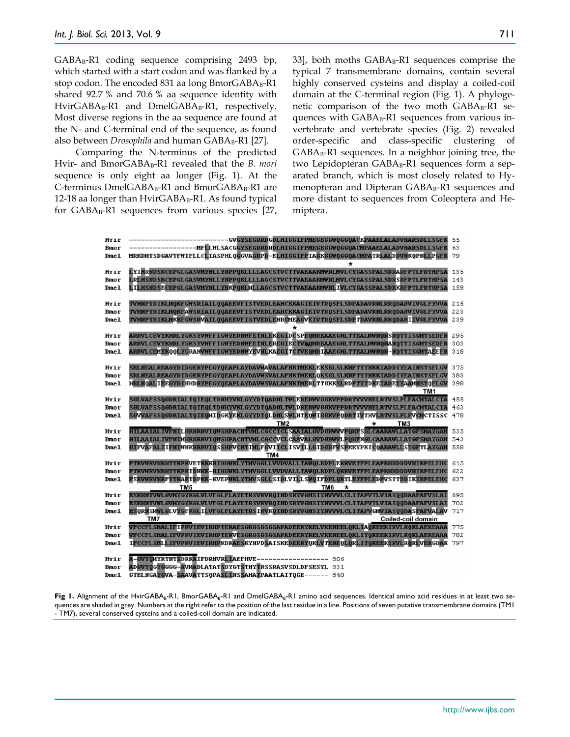$GABA_B-R1$  coding sequence comprising 2493 bp, which started with a start codon and was flanked by a stop codon. The encoded 831 aa long Bmor $GABA_B-RI$ shared 92.7 % and 70.6 % aa sequence identity with HvirGABA<sub>B</sub>-R1 and DmelGABA<sub>B</sub>-R1, respectively. Most diverse regions in the aa sequence are found at the N- and C-terminal end of the sequence, as found also between *Drosophila* and human GABA<sub>B</sub>-R1 [27].

Comparing the N-terminus of the predicted Hvir- and BmorGABA<sub>B</sub>-R1 revealed that the *B. mori* sequence is only eight aa longer (Fig. 1). At the  $C$ -terminus Dmel $GABA_B$ -R1 and Bmor $GABA_B$ -R1 are 12-18 aa longer than  $HvirGABA_B-RI$ . As found typical for GABA<sub>B</sub>-R1 sequences from various species [27,

33], both moths GABA<sub>B</sub>-R1 sequences comprise the typical 7 transmembrane domains, contain several highly conserved cysteins and display a coiled-coil domain at the C-terminal region (Fig. 1). A phylogenetic comparison of the two moth  $GABA_B-RI$  sequences with  $GABA_B-R1$  sequences from various invertebrate and vertebrate species (Fig. 2) revealed order-specific and class-specific clustering of  $GABA_B-R1$  sequences. In a neighbor joining tree, the two Lepidopteran GABA<sub>B</sub>-R1 sequences form a separated branch, which is most closely related to Hymenopteran and Dipteran  $GABA_B-RI$  sequences and more distant to sequences from Coleoptera and Hemiptera.

| Hvir        | -GVGYSEGRRDGDLHIGGIFPMEGEGGWQGGQACKPAAELALADVNARSDLLSGFK                                               | 55  |
|-------------|--------------------------------------------------------------------------------------------------------|-----|
| Bmo r       | -------MFLLWLSACGGYSEGRRDNDLHIGGIFPMEGEGGWQGGQACMPAAELALADVNARSDLLSGFK                                 | 63  |
| Dme1        | MRKDMTSDGAVTFWIFLLCLIASPHLQGGVAGRPD-ELHIGGIFPIAGKGGWQGGQACMPATRLALDDVNKQPNLLPGFK                       | 79  |
|             | *                                                                                                      |     |
| Hvir        | LYIHRNDSKCEPGLGASVMYNLLYNPPQKLLLLAGCSTVCTTVAEAAKMWNLMVLCYGASSPALSDRARFPTLFRTHPSA                       | 135 |
| Bmo r       | LRLHSNDSKCEPGLGASVMYNLLYNPPQKLLLLAGCSTVCTTVAEAAKMWNLMVLCYGASSPALSDRSRFPTLFRTHPSA                       | 143 |
| Dme1        | LILHSNDSECEPGLGASVMYNLLYNKPOKLMLLAGCSTVCTTVAEAAKMWNLIVLCYGASSPALSDRKRFPTLFRTHPSA                       | 159 |
|             |                                                                                                        |     |
|             |                                                                                                        |     |
| Hvir        | TVHNPTRIKLMQKFGWSRIAILQQAEEVFISTVEDLEAHCKKAGIEIVTRQSFLSDPADAVRNLRRQDARVIVGLFYVVA                       | 215 |
| <b>Bmor</b> | TVHNPTRIKLMQKFAWSRIAILQQAEEVFISTVEDLEAHCKKAGIEIVTRQSFLSDPADAVRNLRRQDARVIVGLFYVVA                       | 223 |
| Dme1        | TVHNPTRIKLMKKFGWSRVAILQQAEEVFISTVEDLENRCMEAGVEIVTRQSFLSDPTDAVRNLRRQDARIIVGLFYVVA                       | 239 |
|             | $\star$                                                                                                |     |
| Hvir        | ARRVLCEVYKHRLYGKSYVWFFIGWYEDNWFETNLEKEGIDCSPEONREAAEGHLTTEALMWNQNSNQTTISGMTSEDFR                       | 295 |
| Bmo r       | ARRVLCEVYKHRLYGKSYVWFFIGWYEDNWFETNLEREGIECTVEOMREAAEGHLTTEALMWNONANOTTISGMTSEDFR                       | 303 |
| Dme1        | ARRVLCEMYKQQLYGRAHVWFFIGWYEDNWYEVNLKAEGITCTVEQMRIAAEGHLTTEALMWNQN-NQTTISGMTAEEFR                       | 318 |
|             |                                                                                                        |     |
| Hvir        | SRLNEALREAGYDIDGERYPEGYQEAPLAYDAVWAVALAFNKTMEKLEKSGLSLKNFTYTNKKIADDIYEAINSTSFLGV                       | 375 |
| Bmo r       | SRLNEALREAGYD IDGERYPEGYQEAPLAYDAVWSVALAFNKTMEKLOKSGLSLKNFTYTNKKIADD IYEA INSTSFLGV                    | 383 |
| Dme1        | HRLNOAL IEE GYD INHDRYPE GYQEAPLAYDAVW SVALAFNKTMERL TT GKKSLRDFTYTDKE IADE IYAAMN STOFL GV            | 398 |
|             | TM1                                                                                                    |     |
| Hvir        | SGLVAFSSQGDRIALTQIEQLTDNHYVKLGYYDTQADNLTWLERERWVGGKVPPDRTVVVNELRTVSLPLFACMTALCIA                       | 455 |
| <b>Bmor</b> | SGLVAFSSQGDRIALTQIEQLTDNHYVKLGYYDTQADNLTWLDRERWVGGKVPPDRTVVVNELRTVSLPLFACMTALCIA                       | 463 |
| Dme1        | SGVVAFSSQGDRIALTQIEQMIDGKYEKLGYYDTQLDNLSWLNTEQWIGGKVPQDRTIVTHVLRTVSLPLFVCMCTISSC                       | 478 |
|             | TM <sub>2</sub><br>ТМ3                                                                                 |     |
| Hvir        | GILAA IAL IVFNIL HRHRRV I QWSHPA CN TVML CGCCI CL SAA IAL GVD GRWV VP QHF S GL CAARAWL LAT GF SMAY GAM | 535 |
| <b>Bmor</b> | GILAAIAL IVFNIMHRHRRVIQWSHPACNTVMLCGCCVCLCAAVALGVDGRWVLPQHFNGLCAARAWLLATGFSMAYGAM                      | 543 |
| Dme1        | GIFVAFALIIFNIWNKHRRVIQSSHPVCNIIMLFGVIICLISVILLGIDGRFVSPEEYPKICQARAWLLSTGFTLAYGAM                       | 558 |
|             | TM4                                                                                                    |     |
| Hvir        | <u>FTKVWRVHRHTTKPKVETKKKRIHGWKLYTMVGGLLVVDVALLTAWQLRDPLERRVETFPLEAPRHHDDDVHIRPELEHC</u>                | 615 |
| <b>Bmor</b> | <u>FTKVWRVHRHTTKPKIDNKK-RIHGWKLYTMVGGLLVVDVALLTAWQLRDPLQRRVETFPLEAPRHHDDDVHIRPELEHC</u>                | 622 |
| Dme1        | FSKVWRVHRFTTKAKTDPKK-KVEPWKLYTMVSGLLSIDLVILLSWQIFDPLQRYLETFPLEDPVSTTDDIKIRPELEHC                       | 637 |
|             | TM <sub>5</sub><br>TM <sub>6</sub><br>*                                                                |     |
| Hvir        | ESKHNTVHLGVMYGYKGLVLVFGLFLAYETRSVKVRQINDSRYVGMSIYNVVVLCLITAPVTLVIASQQDAAFAFVSLAI                       | 695 |
| <b>Bmor</b> | ESKHNTVWLGVMYGYKGLVLVFGLFLAYETRSVKVRQINDSRYVGMSIYNVVVLCLITAPVTLVIASQQDAAFAFVSLAI                       | 702 |
|             | ESORNSMWLGLVYGFKGLILVFGLFLAYETRSIKVKQINDSRYVGMSIYNVVVLCLITAPVGMVIASQODASFAFVALAV                       | 717 |
| Dme1        | TM7<br>Coiled-coil domain                                                                              |     |
|             | VFCCFLSMALIFIPKVIEVIRHPTERAESGRGSGSGAPADEERYRELVKENEELQKLIAQKEERIRVLKQKLAEREAAA                        | 775 |
| Hvir        |                                                                                                        |     |
| Bmo r       | VFCCFLSMALIFVPKVIEVIRHPTERVESGRGSGSGAPADEERYRELVKENEELQKLITQKEERIRVLKQKLAEREAAA                        | 782 |
| Dme1        | IFCCFLSMLLIFVPKVIEVIRHPKDKAESKYNPDSAISKEDEERYQKLVTENEQLQRLITQKEEKIRVLRQRLVERGDAK                       | 797 |
|             |                                                                                                        |     |
| Hvir        | A-GVTOMYRTNTSDRKAIFDRNVRLIAEFHVE----------------- 806                                                  |     |
| Bmo r       | ADGVTOGTGGGG-AVMADLATATSDYGTSTNYTRSSRASVSDLDFSESYL 831                                                 |     |
| Dme1        | GTELNGATGVA-SAAVATTSQPASLINSSAHATPAATLAITQGE------ 840                                                 |     |

Fig 1. Alignment of the HvirGABA<sub>B</sub>-R1, BmorGABA<sub>B</sub>-R1 and DmelGABA<sub>B</sub>-R1 amino acid sequences. Identical amino acid residues in at least two sequences are shaded in grey. Numbers at the right refer to the position of the last residue in a line. Positions of seven putative transmembrane domains (TM1 - TM7), several conserved cysteins and a coiled-coil domain are indicated.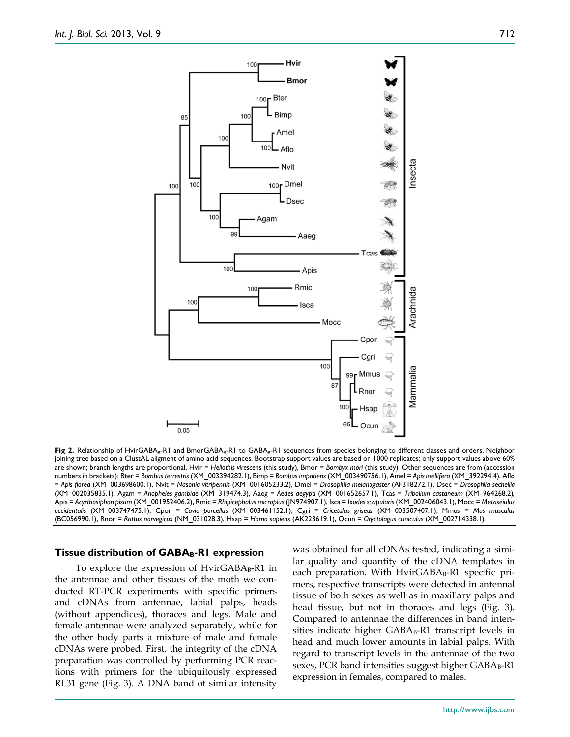

Fig 2. Relationship of HvirGABA<sub>B</sub>-R1 and BmorGABA<sub>B</sub>-R1 to GABA<sub>B</sub>-R1 sequences from species belonging to different classes and orders. Neighbor joining tree based on a ClustAL aligment of amino acid sequences. Bootstrap support values are based on 1000 replicates; only support values above 60% are shown; branch lengths are proportional. Hvir = *Heliothis virescens* (this study), Bmor = *Bombyx mori* (this study). Other sequences are from (accession numbers in brackets): Bter = *Bombus terrestris* (XM\_003394282.1), Bimp = *Bombus impatiens* (XM\_003490756.1), Amel = *Apis mellifera* (XM\_392294.4), Aflo = *Apis florea* (XM\_003698600.1), Nvit = *Nasonia vitripennis* (XM\_001605233.2), Dmel = *Drosophila melanogaster* (AF318272.1), Dsec = *Drosophila sechellia* (XM\_002035835.1), Agam = *Anopheles gambiae* (XM\_319474.3), Aaeg = *Aedes aegypti* (XM\_001652657.1), Tcas = *Tribolium castaneum* (XM\_964268.2), Apis = *Acyrthosiphon pisum* (XM\_001952406.2), Rmic = *Rhipicephalus microplus* (JN974907.1), Isca = *Ixodes scapularis* (XM\_002406043.1), Mocc = *Metaseiulus occidentalis* (XM\_003747475.1), Cpor = *Cavia porcellus* (XM\_003461152.1), Cgri = *Cricetulus griseus* (XM\_003507407.1), Mmus = *Mus musculus* (BC056990.1), Rnor = *Rattus norvegicus* (NM\_031028.3), Hsap = *Homo sapiens* (AK223619.1), Ocun = *Oryctolagus cuniculus* (XM\_002714338.1).

#### **Tissue distribution of GABAB-R1 expression**

To explore the expression of  $HvirGABA_B-RI$  in the antennae and other tissues of the moth we conducted RT-PCR experiments with specific primers and cDNAs from antennae, labial palps, heads (without appendices), thoraces and legs. Male and female antennae were analyzed separately, while for the other body parts a mixture of male and female cDNAs were probed. First, the integrity of the cDNA preparation was controlled by performing PCR reactions with primers for the ubiquitously expressed RL31 gene (Fig. 3). A DNA band of similar intensity was obtained for all cDNAs tested, indicating a similar quality and quantity of the cDNA templates in each preparation. With HvirGABA<sub>B</sub>-R1 specific primers, respective transcripts were detected in antennal tissue of both sexes as well as in maxillary palps and head tissue, but not in thoraces and legs (Fig. 3). Compared to antennae the differences in band intensities indicate higher  $GABA_B-R1$  transcript levels in head and much lower amounts in labial palps. With regard to transcript levels in the antennae of the two sexes, PCR band intensities suggest higher  $GABA_B-R1$ expression in females, compared to males.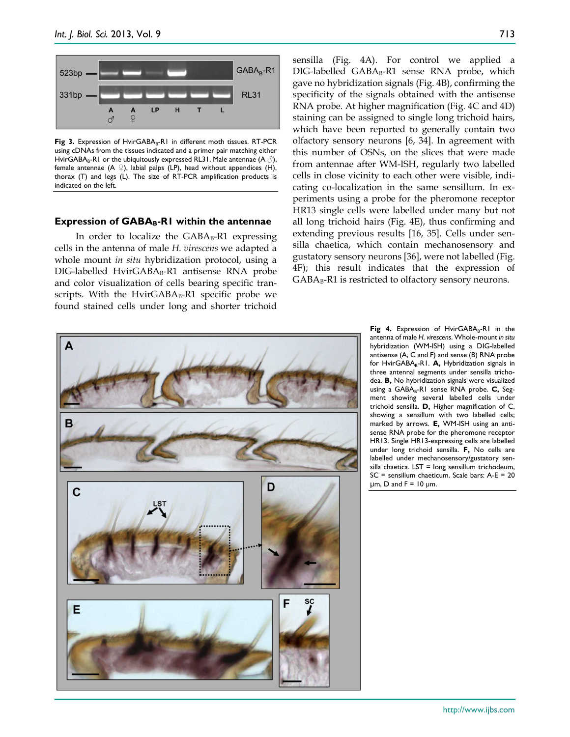

Fig 3. Expression of HvirGABA<sub>B</sub>-R1 in different moth tissues. RT-PCR using cDNAs from the tissues indicated and a primer pair matching either HvirGABA<sub>B</sub>-R1 or the ubiquitously expressed RL31. Male antennae  $(A \circled{f})$ , female antennae (A  $\mathcal{P}$ ), labial palps (LP), head without appendices (H), thorax (T) and legs (L). The size of RT-PCR amplification products is indicated on the left.

#### **Expression of GABAB-R1 within the antennae**

In order to localize the  $GABA_B-R1$  expressing cells in the antenna of male *H. virescens* we adapted a whole mount *in situ* hybridization protocol, using a DIG-labelled HvirGABA<sub>B</sub>-R1 antisense RNA probe and color visualization of cells bearing specific transcripts. With the HvirGABA $_B$ -R1 specific probe we found stained cells under long and shorter trichoid

sensilla (Fig. 4A). For control we applied a DIG-labelled GABA<sub>B</sub>-R1 sense RNA probe, which gave no hybridization signals (Fig. 4B), confirming the specificity of the signals obtained with the antisense RNA probe. At higher magnification (Fig. 4C and 4D) staining can be assigned to single long trichoid hairs, which have been reported to generally contain two olfactory sensory neurons [6, 34]. In agreement with this number of OSNs, on the slices that were made from antennae after WM-ISH, regularly two labelled cells in close vicinity to each other were visible, indicating co-localization in the same sensillum. In experiments using a probe for the pheromone receptor HR13 single cells were labelled under many but not all long trichoid hairs (Fig. 4E), thus confirming and extending previous results [16, 35]. Cells under sensilla chaetica, which contain mechanosensory and gustatory sensory neurons [36], were not labelled (Fig. 4F); this result indicates that the expression of  $GABA_B-R1$  is restricted to olfactory sensory neurons.



Fig 4. Expression of HvirGABA<sub>B</sub>-R1 in the antenna of male *H. virescens*. Whole-mount *in situ* hybridization (WM-ISH) using a DIG-labelled antisense (A, C and F) and sense (B) RNA probe for HvirGABA<sub>R</sub>-R1. **A**, Hybridization signals in three antennal segments under sensilla trichodea. **B,** No hybridization signals were visualized using a GABA<sub>B</sub>-R1 sense RNA probe. **C**, Segment showing several labelled cells under trichoid sensilla. **D,** Higher magnification of C, showing a sensillum with two labelled cells; marked by arrows. **E,** WM-ISH using an antisense RNA probe for the pheromone receptor HR13. Single HR13-expressing cells are labelled under long trichoid sensilla. **F,** No cells are labelled under mechanosensory/gustatory sen $s$ illa chaetica. LST = long sensillum trichodeum, SC = sensillum chaeticum. Scale bars: A-E = 20 μm, D and  $F = 10$  μm.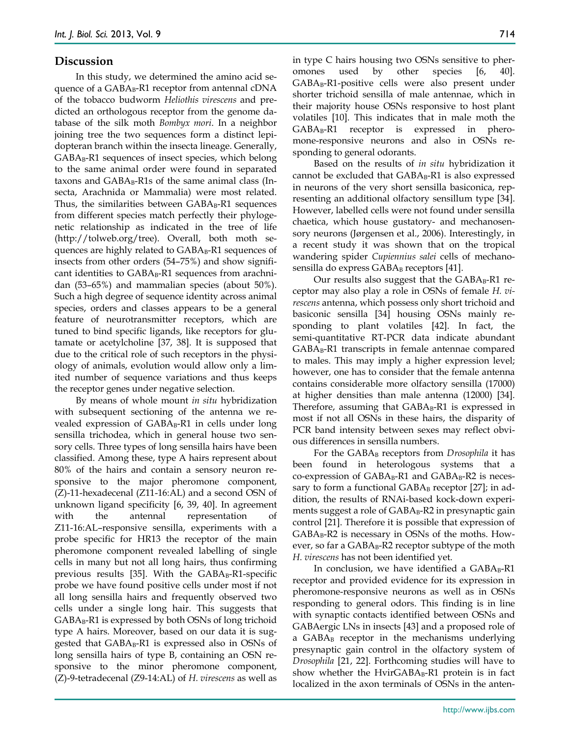## **Discussion**

In this study, we determined the amino acid sequence of a GABA<sub>B</sub>-R1 receptor from antennal cDNA of the tobacco budworm *Heliothis virescens* and predicted an orthologous receptor from the genome database of the silk moth *Bombyx mori*. In a neighbor joining tree the two sequences form a distinct lepidopteran branch within the insecta lineage. Generally,  $GABA_B-R1$  sequences of insect species, which belong to the same animal order were found in separated taxons and  $GABA_B-R1s$  of the same animal class (Insecta, Arachnida or Mammalia) were most related. Thus, the similarities between  $GABA_B-R1$  sequences from different species match perfectly their phylogenetic relationship as indicated in the tree of life (http://tolweb.org/tree). Overall, both moth sequences are highly related to  $GABA_B-R1$  sequences of insects from other orders (54–75%) and show significant identities to GABA<sub>B</sub>-R1 sequences from arachnidan (53–65%) and mammalian species (about 50%). Such a high degree of sequence identity across animal species, orders and classes appears to be a general feature of neurotransmitter receptors, which are tuned to bind specific ligands, like receptors for glutamate or acetylcholine [37, 38]. It is supposed that due to the critical role of such receptors in the physiology of animals, evolution would allow only a limited number of sequence variations and thus keeps the receptor genes under negative selection.

By means of whole mount *in situ* hybridization with subsequent sectioning of the antenna we revealed expression of GABA<sub>B</sub>-R1 in cells under long sensilla trichodea, which in general house two sensory cells. Three types of long sensilla hairs have been classified. Among these, type A hairs represent about 80% of the hairs and contain a sensory neuron responsive to the major pheromone component, (Z)-11-hexadecenal (Z11-16:AL) and a second OSN of unknown ligand specificity [6, 39, 40]. In agreement with the antennal representation of Z11-16:AL–responsive sensilla, experiments with a probe specific for HR13 the receptor of the main pheromone component revealed labelling of single cells in many but not all long hairs, thus confirming previous results [35]. With the  $GABA_B-R1$ -specific probe we have found positive cells under most if not all long sensilla hairs and frequently observed two cells under a single long hair. This suggests that  $GABA_B-R1$  is expressed by both OSNs of long trichoid type A hairs. Moreover, based on our data it is suggested that  $GABA_B-R1$  is expressed also in OSNs of long sensilla hairs of type B, containing an OSN responsive to the minor pheromone component, (Z)-9-tetradecenal (Z9-14:AL) of *H. virescens* as well as

in type C hairs housing two OSNs sensitive to pheromones used by other species [6, 40].  $GABA_B-R1$ -positive cells were also present under shorter trichoid sensilla of male antennae, which in their majority house OSNs responsive to host plant volatiles [10]. This indicates that in male moth the  $GABA_B-R1$  receptor is expressed in pheromone-responsive neurons and also in OSNs responding to general odorants.

Based on the results of *in situ* hybridization it cannot be excluded that  $GABA_B-R1$  is also expressed in neurons of the very short sensilla basiconica, representing an additional olfactory sensillum type [34]. However, labelled cells were not found under sensilla chaetica, which house gustatory- and mechanosensory neurons (Jørgensen et al., 2006). Interestingly, in a recent study it was shown that on the tropical wandering spider *Cupiennius salei* cells of mechanosensilla do express  $GABA_B$  receptors [41].

Our results also suggest that the  $GABA_B-RI$  receptor may also play a role in OSNs of female *H. virescens* antenna, which possess only short trichoid and basiconic sensilla [34] housing OSNs mainly responding to plant volatiles [42]. In fact, the semi-quantitative RT-PCR data indicate abundant GABA<sub>B</sub>-R1 transcripts in female antennae compared to males. This may imply a higher expression level; however, one has to consider that the female antenna contains considerable more olfactory sensilla (17000) at higher densities than male antenna (12000) [34]. Therefore, assuming that  $GABA_B-R1$  is expressed in most if not all OSNs in these hairs, the disparity of PCR band intensity between sexes may reflect obvious differences in sensilla numbers.

For the GABA<sub>B</sub> receptors from *Drosophila* it has been found in heterologous systems that a co-expression of  $GABA_B-R1$  and  $GABA_B-R2$  is necessary to form a functional  $GABA_B$  receptor [27]; in addition, the results of RNAi-based kock-down experiments suggest a role of  $GABA_B-R2$  in presynaptic gain control [21]. Therefore it is possible that expression of  $GABA_B-R2$  is necessary in OSNs of the moths. However, so far a  $GABA_B$ -R2 receptor subtype of the moth *H. virescens* has not been identified yet.

In conclusion, we have identified a  $GABA_B-R1$ receptor and provided evidence for its expression in pheromone-responsive neurons as well as in OSNs responding to general odors. This finding is in line with synaptic contacts identified between OSNs and GABAergic LNs in insects [43] and a proposed role of a GABA<sub>B</sub> receptor in the mechanisms underlying presynaptic gain control in the olfactory system of *Drosophila* [21, 22]. Forthcoming studies will have to show whether the  $HvirGABA_B-R1$  protein is in fact localized in the axon terminals of OSNs in the anten